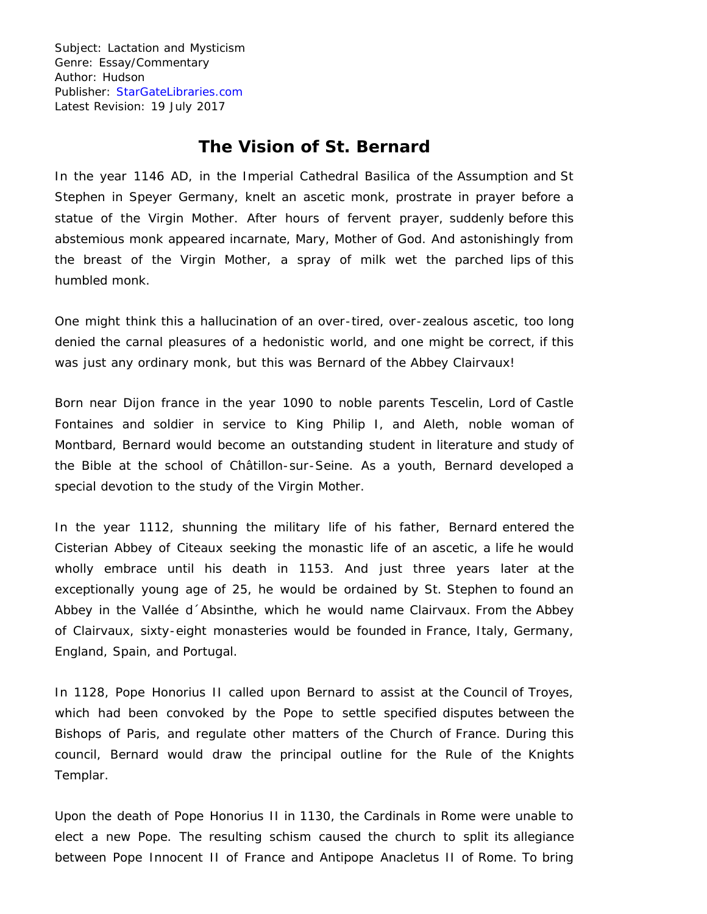## **The Vision of St. Bernard**

In the year 1146 AD, in the Imperial Cathedral Basilica of the Assumption and St Stephen in Speyer Germany, knelt an ascetic monk, prostrate in prayer before a statue of the Virgin Mother. After hours of fervent prayer, suddenly before this abstemious monk appeared incarnate, Mary, Mother of God. And astonishingly from the breast of the Virgin Mother, a spray of milk wet the parched lips of this humbled monk.

One might think this a hallucination of an over-tired, over-zealous ascetic, too long denied the carnal pleasures of a hedonistic world, and one might be correct, if this was just any ordinary monk, but this was Bernard of the Abbey Clairvaux!

Born near Dijon france in the year 1090 to noble parents Tescelin, Lord of Castle Fontaines and soldier in service to King Philip I, and Aleth, noble woman of Montbard, Bernard would become an outstanding student in literature and study of the Bible at the school of Châtillon-sur-Seine. As a youth, Bernard developed a special devotion to the study of the Virgin Mother.

In the year 1112, shunning the military life of his father, Bernard entered the Cisterian Abbey of Citeaux seeking the monastic life of an ascetic, a life he would wholly embrace until his death in 1153. And just three years later at the exceptionally young age of 25, he would be ordained by St. Stephen to found an Abbey in the Vallée d´Absinthe, which he would name Clairvaux. From the Abbey of Clairvaux, sixty-eight monasteries would be founded in France, Italy, Germany, England, Spain, and Portugal.

In 1128, Pope Honorius II called upon Bernard to assist at the Council of Troyes, which had been convoked by the Pope to settle specified disputes between the Bishops of Paris, and regulate other matters of the Church of France. During this council, Bernard would draw the principal outline for the Rule of the Knights Templar.

Upon the death of Pope Honorius II in 1130, the Cardinals in Rome were unable to elect a new Pope. The resulting schism caused the church to split its allegiance between Pope Innocent II of France and Antipope Anacletus II of Rome. To bring